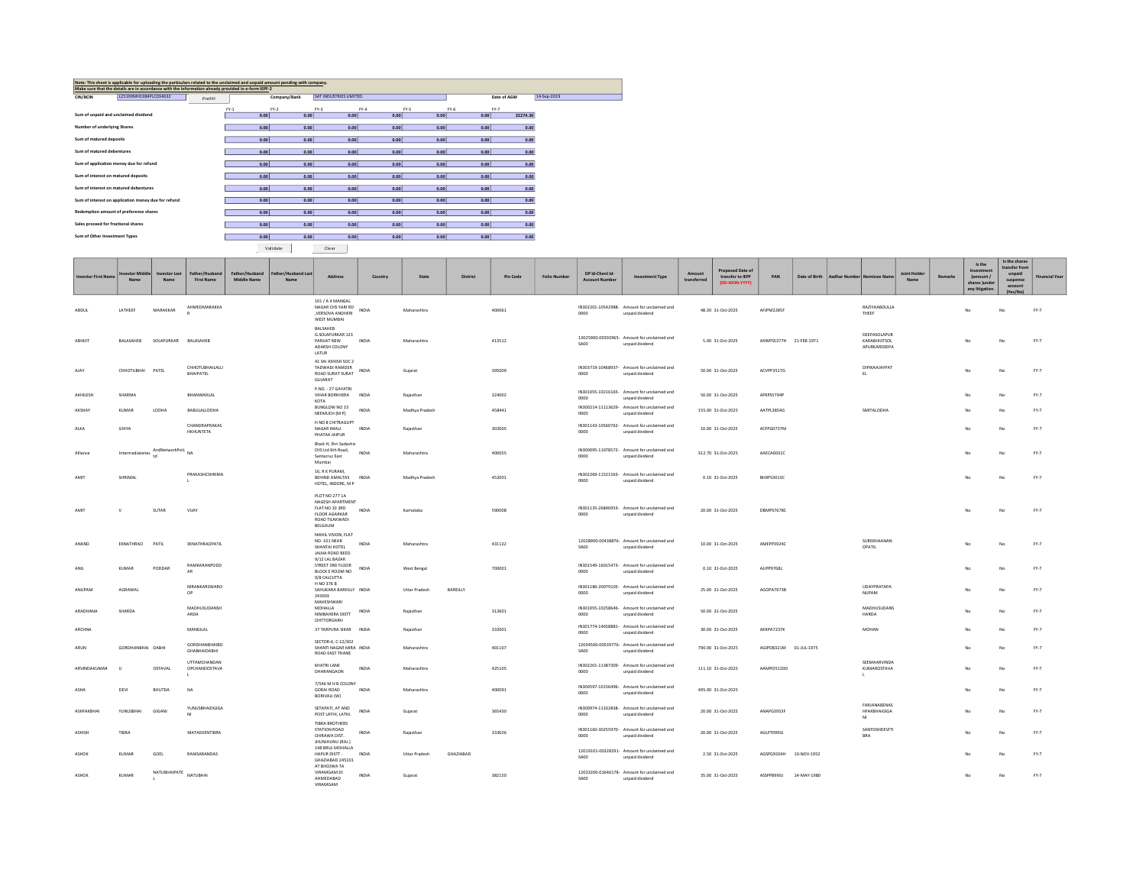| Note: This sheet is applicable for uploading the particulars related to the unclaimed and unpaid amount pending with company.<br>Make sure that the details are in accordance with the information already provided in e-form IEPF-2 |                                                     |         |        |              |                         |        |      |          |             |             |  |  |
|--------------------------------------------------------------------------------------------------------------------------------------------------------------------------------------------------------------------------------------|-----------------------------------------------------|---------|--------|--------------|-------------------------|--------|------|----------|-------------|-------------|--|--|
|                                                                                                                                                                                                                                      |                                                     |         |        |              |                         |        |      |          |             |             |  |  |
| CIN/BCIN                                                                                                                                                                                                                             | L25199MH1984PLC034632                               | Prefill |        | Company/Bank | SAT INDUSTRIES LIMITED. |        |      |          | Date of AGM | 14-Sep-2019 |  |  |
|                                                                                                                                                                                                                                      |                                                     |         |        |              |                         |        |      |          |             |             |  |  |
|                                                                                                                                                                                                                                      |                                                     |         | $FY-1$ | $FY-2$       | $FY-3$                  | $FY-4$ | FY-5 | $FY-6$   | $FY-7$      |             |  |  |
| Sum of unpaid and unclaimed dividend                                                                                                                                                                                                 |                                                     | 0.00    | 0.00   | 0.00         | 0.00                    | 0.00   | 0.00 | 32274.30 |             |             |  |  |
|                                                                                                                                                                                                                                      |                                                     |         |        |              |                         |        |      |          |             |             |  |  |
| Number of underlying Shares                                                                                                                                                                                                          |                                                     |         | 0.00   | 0.00         | 0.00                    | 0.00   | 0.00 | 0.00     | 0.00        |             |  |  |
|                                                                                                                                                                                                                                      |                                                     |         |        |              |                         |        |      |          |             |             |  |  |
| Sum of matured deposits                                                                                                                                                                                                              |                                                     |         | 0.00   | 0.00         | 0.00                    | 0.00   | 0.00 | 0.00     | 0.00        |             |  |  |
|                                                                                                                                                                                                                                      |                                                     |         |        |              |                         |        |      |          |             |             |  |  |
| Sum of matured debentures                                                                                                                                                                                                            |                                                     |         | 0.00   | 0.00         | 0.00                    | 0.00   | 0.00 | 0.00     | 0.00        |             |  |  |
|                                                                                                                                                                                                                                      |                                                     |         |        |              |                         |        |      |          |             |             |  |  |
| Sum of application money due for refund                                                                                                                                                                                              |                                                     |         | 0.00   | 0.00         | 0.00                    | 0.00   | 0.00 | 0.00     | 0.00        |             |  |  |
|                                                                                                                                                                                                                                      |                                                     |         |        |              |                         |        |      |          |             |             |  |  |
| Sum of interest on matured deposits                                                                                                                                                                                                  |                                                     |         | 0.00   | 0.00         | 0.00                    | 0.00   | 0.00 | 0.00     | 0.00        |             |  |  |
|                                                                                                                                                                                                                                      |                                                     |         |        |              |                         |        |      |          |             |             |  |  |
| Sum of interest on matured debentures                                                                                                                                                                                                |                                                     |         | 0.00   | 0.00         | 0.00                    | 0.00   | 0.00 | 0.00     | 0.00        |             |  |  |
|                                                                                                                                                                                                                                      |                                                     |         |        |              |                         |        |      |          |             |             |  |  |
|                                                                                                                                                                                                                                      | Sum of interest on application money due for refund |         | 0.00   | 0.00         | 0.00                    | 0.00   | 0.00 | 0.00     | 0.00        |             |  |  |
|                                                                                                                                                                                                                                      |                                                     |         |        |              |                         |        |      |          |             |             |  |  |
|                                                                                                                                                                                                                                      | Redemption amount of preference shares              |         | 0.00   | 0.00         | 0.00                    | 0.00   | 0.00 | 0.00     |             |             |  |  |
|                                                                                                                                                                                                                                      |                                                     |         |        |              |                         |        |      |          | 0.00        |             |  |  |
| Sales proceed for fractional shares                                                                                                                                                                                                  |                                                     |         | 0.00   | 0.00         |                         | 0.00   | 0.00 |          |             |             |  |  |
|                                                                                                                                                                                                                                      |                                                     |         |        |              | 0.00                    |        |      | 0.00     | 0.00        |             |  |  |
| Sum of Other Investment Types                                                                                                                                                                                                        |                                                     |         |        |              |                         |        |      |          |             |             |  |  |
|                                                                                                                                                                                                                                      |                                                     | 0.00    | 0.00   | 0.00         | 0.00                    | 0.00   | 0.00 | 0.00     |             |             |  |  |

Validate Clear

| <b>Investor First Name</b> | estor Middle<br>Name                   | <b>Investor Last</b><br>Name | Father/Husband<br><b>First Name</b>                   | Father/Husband<br><b>Middle Name</b> | Father/Husband Last<br>Name | <b>Address</b>                                                                                     | Country      | State          | District  | Pin Code | <b>Folio Number</b> | DP Id-Client Id-<br><b>Account Number</b> | <b>Investment Type</b>                                         | Amount<br>transferred | Proposed Date of<br>transfer to IEPF<br>(DD-MON-YYYY) | PAN                    | Date of Birth | <b>Aadhar Number</b> | Nominee Nam                                  | <b>Joint Holder</b><br>Name | <b>Remarks</b> | Is the<br>Investment<br>(amount /<br>shares lunder<br>any litigation | Is the shares<br>transfer from<br>unpaid<br>suspense<br>account<br>(Yes/No) | <b>Financial Year</b> |
|----------------------------|----------------------------------------|------------------------------|-------------------------------------------------------|--------------------------------------|-----------------------------|----------------------------------------------------------------------------------------------------|--------------|----------------|-----------|----------|---------------------|-------------------------------------------|----------------------------------------------------------------|-----------------------|-------------------------------------------------------|------------------------|---------------|----------------------|----------------------------------------------|-----------------------------|----------------|----------------------------------------------------------------------|-----------------------------------------------------------------------------|-----------------------|
| ABDUL                      | LATHEEF                                | MARAKKAR                     | AHMEDMARAKKA<br>$\overline{a}$                        |                                      |                             | 101 / A 4 MANGAL<br>NAGAR CHS YARI RD<br>, VERSOVA ANDHERI<br>WEST MUMBAI                          | <b>INDIA</b> | Maharashtra    |           | 400061   |                     | 0000                                      | IN302201-10542988- Amount for unclaimed and<br>unpaid dividend |                       | 48.30 31-Oct-2025                                     | AFJPM2285F             |               |                      | RAZIYAABDULLA<br>THEEF                       |                             |                | No                                                                   | No                                                                          | $FY-7$                |
| ABHUIT                     | BALASAHEB                              | SOLAPURKAR BALASAHEB         |                                                       |                                      |                             | BALSAHEB<br>G.SOLAPURKAR 123<br>PARUAT NEW<br>ADARSH COLONY<br>LATUR                               | <b>INDIA</b> | Maharashtra    |           | 413512   |                     | SA00                                      | 13025900-00392965- Amount for unclaimed and<br>unpaid dividend |                       | 5.00 31-Oct-2025                                      | AXWPS5377H 21-FEB-1971 |               |                      | DEEPASOLAPUR<br>KARABHUITSOL<br>APURKARDEEPA |                             |                | No                                                                   | No                                                                          | $FY-7$                |
| AJAY                       | CHHOTUBHAI PATEL                       |                              | CHHOTUBHAILALU<br><b>BHAIPATEL</b>                    |                                      |                             | 41 SAI ASHISH SOC 2<br>TADWADI RAMDER<br>ROAD SURAT SURAT<br>GUJARAT                               | INDIA        | Gujarat        |           | 395009   |                     | 0000                                      | IN303719-10468937- Amount for unclaimed and<br>unpaid dividend |                       | 50.00 31-Oct-2025                                     | ACVPP3517G             |               |                      | DIPIKAAJAYPAT<br>EL                          |                             |                | No                                                                   | No                                                                          | $FY-7$                |
| AKHILESH                   | SHARMA                                 |                              | RHANWARIAI                                            |                                      |                             | P.NO. - 27 GAYATRI<br>VIHAR BORKHERA INDIA                                                         |              | Raiasthan      |           | 324002   |                     | 0000                                      | IN301055-10216165- Amount for unclaimed and<br>unpaid dividend |                       | 50.00 31-Oct-2025                                     | AFRPSS794P             |               |                      |                                              |                             |                | No                                                                   | No                                                                          | $FY-7$                |
| AKSHAY                     | KUMAR                                  | LODHA                        | BABULALLODHA                                          |                                      |                             | KOTA<br>BUNGLOW NO 23<br>NEEMUCH (M P)                                                             | INDIA        | Madhya Pradesh |           | 458441   |                     | 0000                                      | IN300214-11113629- Amount for unclaimed and<br>unpaid dividend |                       | 155.00 31-Oct-2025                                    | AATPL3854G             |               |                      | SMITALODHA                                   |                             |                | No                                                                   | No                                                                          | $FY-7$                |
| ALKA                       | GHIYA                                  |                              | CHANDRAPRAKAS<br>HKHUNTETA                            |                                      |                             | H NO 8 CHITRAGUPT<br>NAGAR IMALI<br>PHATAK JAIPUR                                                  | INDIA        | Raiasthan      |           | 302005   |                     | 0000                                      | IN301143-10560762- Amount for unclaimed and<br>unpaid dividend |                       | 10.00 31-Oct-2025                                     | ACFPG0727M             |               |                      |                                              |                             |                | No                                                                   | No                                                                          | $FY-7$                |
| Alliance                   | Intermediateries $\int_{td}^{+\infty}$ | AndNetworkPvtL NA            |                                                       |                                      |                             | Block H, Shri Sadashiv<br>CHS Ltd 6th Road,<br>Santacruz East<br>Mumbai                            | INDIA        | Maharashtra    |           | 400055   |                     | 0000                                      | IN300095-11078572- Amount for unclaimed and<br>unpaid dividend |                       | 312.70 31-Oct-2025                                    | AAECA6031C             |               |                      |                                              |                             |                | No                                                                   | No                                                                          | $FY-7$                |
| AMIT                       | SHRIMAL                                |                              | PRAKASHCSHRIMA                                        |                                      |                             | 16. R K PURAM.<br>BEHIND AMALTAS<br>HOTEL, INDORE, M P                                             | INDIA        | Madhya Pradesh |           | 452001   |                     | 0000                                      | IN302269-11521563- Amount for unclaimed and<br>unpaid dividend |                       | 0.10 31-Oct-2025                                      | BHXPS3013C             |               |                      |                                              |                             |                | No                                                                   | No                                                                          | FY-7                  |
| AMIT                       |                                        | SUTAR                        | VIJAY                                                 |                                      |                             | PLOT NO 277 1A<br>NAGESH APARTMENT<br>FLAT NO 10 3RD<br>FLOOR AGARKAR<br>ROAD TILAKWADI<br>BELGAUM | INDIA        | Karnataka      |           | 590008   |                     | coop                                      | IN301135-26846953- Amount for unclaimed and<br>unpaid dividend |                       | 20.00 31-Oct-2025                                     | DBMPS7678C             |               |                      |                                              |                             |                | No                                                                   | No                                                                          | $FY-7$                |
| ANAND                      | EKNATHRAO                              | PATIL                        | EKNATHRAOPATIL                                        |                                      |                             | NIKHIL VISION, FLAT<br>NO-101 NFAR<br>SHANTAI HOTEL<br>JALNA ROAD BEED                             | INDIA        | Maharashtra    |           | 431122   |                     | SA00                                      | 12028900-00438876- Amount for unclaimed and<br>unpaid dividend |                       | 10.00 31-Oct-2025                                     | AMEPP3924C             |               |                      | SURFKHAANAN<br>DPATIL                        |                             |                | No                                                                   | No                                                                          | $FY-7$                |
| ANIL                       | KUMAR                                  | PODDAR                       | RAMKARANPODD<br>AR                                    |                                      |                             | 9/12 LAL BAZAR<br>STREET 3RD FLOOR<br>BLOCK E ROOM NO<br>9/8 CALCUTTA                              | INDIA        | West Bengal    |           | 700001   |                     | coop                                      | IN301549-16015473- Amount for unclaimed and<br>unpaid dividend |                       | 0.10 31-Oct-2025                                      | AJJPP9768L             |               |                      |                                              |                             |                | No                                                                   | No                                                                          | $FY-7$                |
| ANUPAM                     | AGRAWAL                                |                              | NIRANKARSWARO<br>OP                                   |                                      |                             | H NO 376 B<br>SAHUKARA BAREILLY INDIA<br>243003                                                    |              | Uttar Pradesh  | BAREILLY  |          |                     | 0000                                      | IN301186-20079105- Amount for unclaimed and<br>unpaid dividend |                       | 25.00 31-Oct-2025                                     | AGOPA7673B             |               |                      | UDAYPRATAPA<br><b>NUPAM</b>                  |                             |                | No                                                                   | No                                                                          | $FY-7$                |
| ARADHANA                   | SHARDA                                 |                              | MADHUSUDANSH<br>ARDA                                  |                                      |                             | MAHESHWARI<br>MOHALLA<br>NIMBAHERA DISTT<br>CHITTORGARH                                            | <b>INDIA</b> | Raiasthan      |           | 312601   |                     | 0000                                      | IN301055-10258646- Amount for unclaimed and<br>unpaid dividend |                       | 50.00 31-Oct-2025                                     |                        |               |                      | <b>MADHUSUDANS</b><br><b>HARDA</b>           |                             |                | No                                                                   | No                                                                          | $FY-7$                |
| ARCHNA                     |                                        |                              | MANGILAL                                              |                                      |                             | 37 TARPURA SIKAR INDIA                                                                             |              | Rajasthan      |           | 332001   |                     | 0000                                      | IN301774-14658881- Amount for unclaimed and<br>unpaid dividend |                       | 30.00 31-Oct-2025                                     | AKKPA7237K             |               |                      | MOHAN                                        |                             |                | No                                                                   | No                                                                          | $FY-7$                |
| ARUN                       | GORDHANBHAI DABHI                      |                              | GORDHANBHAIBO<br><b>GHABHAIDABHI</b>                  |                                      |                             | SECTOR-6, C-12/302<br>SHANTI NAGAR MIRA INDIA<br>ROAD EAST THANE                                   |              | Maharashtra    |           | 401107   |                     | <b>SA00</b>                               | 12034500-00539776- Amount for unclaimed and<br>unpaid dividend |                       | 790.00 31-Oct-2025                                    | AGIPD8321M             | 01-JUL-1975   |                      |                                              |                             |                | No                                                                   | No                                                                          | $FY-7$                |
| ARVINDAKUMAR               | $\mathbf{u}$                           | OSTAVAL                      | <b>LITTAMCHANDAN</b><br>OPCHANDOSTAVA<br>$\mathbf{L}$ |                                      |                             | KHATRI LANE<br>DHARANGAON                                                                          | INDIA        | Maharashtra    |           | 425105   |                     | 0000                                      | IN302201-11387309- Amount for unclaimed and<br>unpaid dividend |                       | 111.10 31-Oct-2025                                    | AAMPO5120D             |               |                      | SEEMAARVINDA<br>KUMAROSTAVA<br>л.            |                             |                | No                                                                   | No                                                                          | $FY-7$                |
| ASHA                       | DEVI                                   | BHUTDA                       | NA                                                    |                                      |                             | 7/S46 M H B COLONY<br><b>GORAI ROAD</b><br>BORIVALI (W)                                            | INDIA        | Maharashtra    |           | 400091   |                     | 0000                                      | IN300597-10156496- Amount for unclaimed and<br>unpaid dividend |                       | 495.00 31-Oct-2025                                    |                        |               |                      | FARIANARENAS                                 |                             |                | No                                                                   | No                                                                          | $FY-7$                |
| ASHFAKBHAI                 | <b>YUNUSBHAI</b>                       | GIGAN                        | <b>YUNUSBHAIOGIGA</b><br>NI                           |                                      |                             | SETAPATI, AT AND<br>POST LATHI, LATHI.<br><b>TIBRA BROTHERS</b>                                    | INDIA        | Guiarat        |           | 365430   |                     | 0000                                      | IN300974-11332838- Amount for unclaimed and<br>unpaid dividend |                       | 20.00 31-Oct-2025                                     | ANAPG3953F             |               |                      | HFAKBHAIGIGA<br>N <sub>1</sub>               |                             |                | No                                                                   | No                                                                          | $FY-7$                |
| <b>ASHISH</b>              | TIBRA                                  |                              | MATADEENTIBRA                                         |                                      |                             | STATION ROAD<br>CHIRAWA DIST.<br>JHUNJHUNU (RAJ.)                                                  | <b>INDIA</b> | Raiasthan      |           | 333026   |                     | 0000                                      | IN301160-30255970- Amount for unclaimed and<br>unpaid dividend |                       | 20.00 31-Oct-2025                                     | AGLPT0993J             |               |                      | SANTOSHDEVITI<br><b>BRA</b>                  |                             |                | No                                                                   | No                                                                          | $FY-7$                |
| <b>ASHOK</b>               | KUMAR                                  | GOEL                         | RAMSARANDAS                                           |                                      |                             | 148 BRUJ MOHALLA<br>HAPUR DISTT -<br>GHAZIABAD 245101<br>AT BHOJWA TA                              | <b>INDIA</b> | Uttar Pradesh  | GHAZIABAD |          |                     | SA00                                      | 12019101-00328291- Amount for unclaimed and<br>unpaid dividend |                       | 2.50 31-Oct-2025                                      | AGSPG9104H             | 10-NOV-1952   |                      |                                              |                             |                |                                                                      |                                                                             | $FY-7$                |
| ASHOK                      | KUMAR                                  | NATUBHAIPATE NATUBHAI        |                                                       |                                      |                             | VIRAMGAM DI<br>AHMEDABAD<br><b>VIRAMGAM</b>                                                        | <b>INDIA</b> | Guiarat        |           | 382150   |                     | SA00                                      | 12033200-01646178- Amount for unclaimed and<br>unpaid dividend |                       | 35.00 31-Oct-2025                                     | ASSPP8990J             | 14-MAY-1980   |                      |                                              |                             |                | No                                                                   | No                                                                          | $FY-7$                |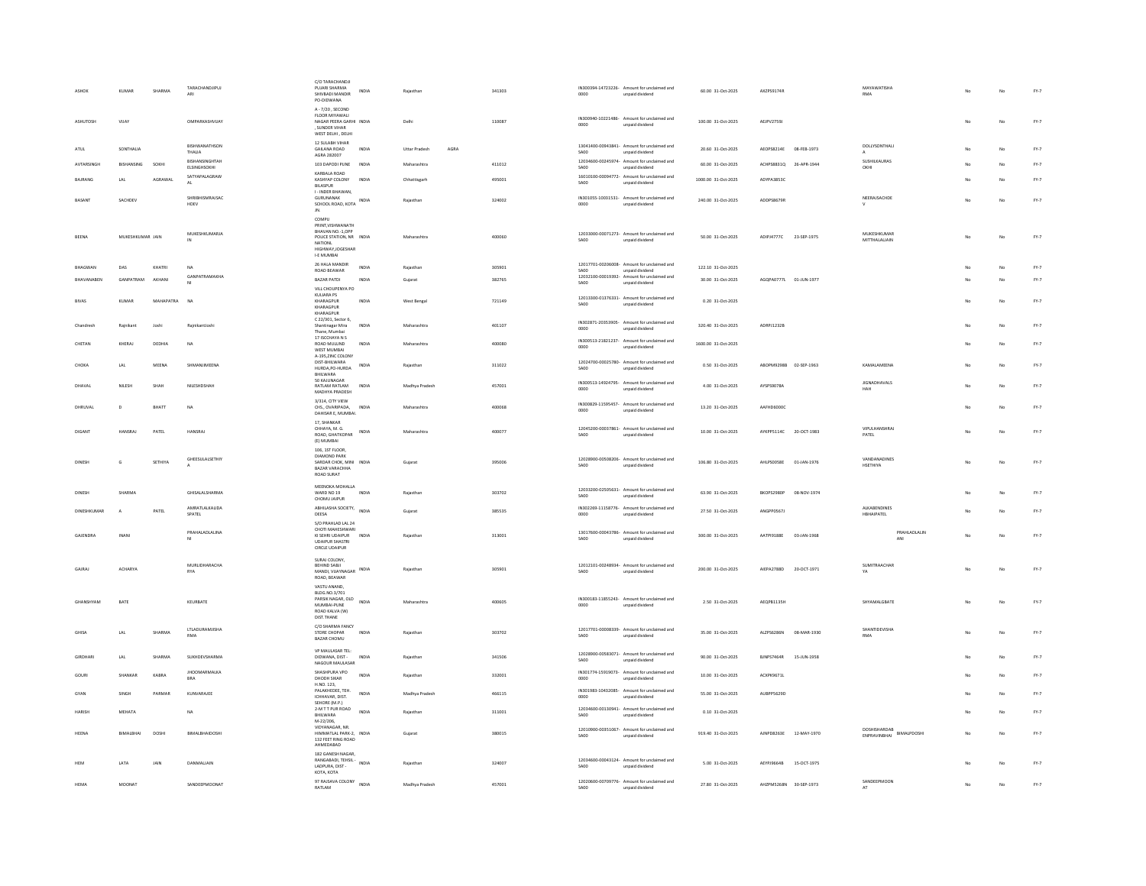|                | KUMAR                   | <b>SHARMA</b> | TARACHANDJIPUJ<br>ARI             | C/O TARACHANDJI<br>PUJARI SHARMA<br>INDIA<br>SHIVBADI MANDIR<br>PO-DIDWANA                                             | Rajasthar                    | 341303 | IN300394-14723226- Amount for unclaimed and<br>0000<br>unpaid dividend        | 60.00 31-Oct-2025   | AXZPS9174R                       | MAYAWATISHA<br><b>RMA</b>                   |     |    | $FY-7$ |
|----------------|-------------------------|---------------|-----------------------------------|------------------------------------------------------------------------------------------------------------------------|------------------------------|--------|-------------------------------------------------------------------------------|---------------------|----------------------------------|---------------------------------------------|-----|----|--------|
| ASHUTOSH       | VUAY                    |               | OMPARKASHVIJAY                    | A-7/20, SECOND<br>FLOOR MIYAWALI<br>NAGAR PEERA GARHI INDIA<br>. SUNDER VIHAR<br>WEST DELHI, DELHI                     | Delhi                        | 110087 | IN300940-10221486- Amount for unclaimed and<br>0000<br>unpaid dividend        | 100.00 31-Oct-2025  | AEJPV2759J                       |                                             | No  | No | $FY-7$ |
| ATUL           | SONTHALIA               |               | BISHWANATHSON<br>THALIA           | 12 SULABH VIHAR<br><b>GAILANA ROAD</b><br>INDIA<br>AGRA 282007                                                         | <b>Uttar Pradesh</b><br>AGRA |        | 13041400-00943841- Amount for unclaimed and<br>unpaid dividend<br>SA00        | 20.60 31-Oct-2025   | AEOPS8214E 08-FEB-1973           | DOLLYSONTHALI                               | No  | No | $FY-7$ |
| AVTARSINGE     | BISHANSING              | SOKH          | BISHANSINGHTAH<br>ELSINGHSOKHI    | 103 DAPODI PUNE<br>INDIA                                                                                               | Maharashtra                  | 411012 | 12034600-00245974- Amount for unclaimed and<br>SA00<br>unpaid dividend        | 60.00 31-Oct-2025   | ACHPS8831Q<br>26-APR-1944        | SUSHILKAURAS<br>OKHI                        |     | No | $FY-7$ |
| BAJRANG        | LAL                     | AGRAWAL       | SATYAPALAGRAW<br>$\Delta$         | KARRALA ROAD<br>KASHYAP COLONY<br>INDIA<br><b>BILASPUR</b>                                                             | Chhattisgarh                 | 495001 | 16010100-00094772- Amount for unclaimed and<br>SA00<br>unpaid dividend        | 1000.00 31-Oct-2025 | ADYPA3853C                       |                                             |     | No | $FY-7$ |
| BASANT         | SACHDEV                 |               | SHRIBHISMRAJSAC<br>HDEV           | I - INDER BHAWAN,<br>GURUNANAK<br>INDIA<br>SCHOOL ROAD, KOTA                                                           | Rajasthan                    | 324002 | IN301055-10031531- Amount for unclaimed and<br>0000<br>unpaid dividend        | 240.00 31-Oct-2025  | ADDPS8679R                       | NEERAJSACHDE                                | No  | No | $FY-7$ |
|                |                         |               |                                   | JN.<br>COMPU                                                                                                           |                              |        |                                                                               |                     |                                  |                                             |     |    |        |
| RFFNA          | MUKESHKUMAR JAIN        |               | MUKESHKUMARJA                     | PRINT.VISHWANATH<br>BHAVAN NO.-1,OPP<br>POLICE STATION, NR INDIA<br>NATIONL<br>HIGHWAY IOGESHAR                        | Maharashtra                  | 400060 | 12033000-00071273- Amount for unclaimed and<br>SA00<br>unpaid dividend        | 50.00 31-Oct-2025   | ADIPJ4777C 23-SEP-1975           | MUKESHKUMAR<br>MITTHALALIAIN                | No  | No | $FY-7$ |
| BHAGWAN        | DAS                     | KHATRI        | NA                                | I-E MUMBAI<br>26 HALA MANDIR<br>INDIA                                                                                  | Raiasthan                    | 305901 | 12017701-00206008- Amount for unclaimed and                                   | 122.10 31-Oct-2025  |                                  |                                             |     | No | $FY-7$ |
| BHAVANABEN     | GANPATRAM               | AKHANI        | GANPATRAMAKHA                     | ROAD REAWAR<br><b>BAZAR PATDI</b><br>INDIA                                                                             | Guiarat                      | 382765 | SA00<br>unpaid dividend<br>12032100-00019392- Amount for unclaimed and        | 30.00 31-Oct-2025   | AGOPA0777L 01-JUN-1977           |                                             |     | No | $PY-7$ |
|                |                         |               |                                   | VILL CHOUPENYA PO<br>KULIARA PS                                                                                        |                              |        | SA00<br>unpaid dividend                                                       |                     |                                  |                                             |     |    |        |
| <b>BIVAS</b>   | KUMAR                   | MAHAPATRA     | <b>NA</b>                         | KHARAGPUR<br><b>INDIA</b><br>KHARAGPUR<br>KHARAGPUR                                                                    | West Bengal                  | 721149 | 12013300-01376331- Amount for unclaimed and<br>unpaid dividend<br><b>SA00</b> | 0.20 31-Oct-2025    |                                  |                                             |     | No | $FY-7$ |
| Chandresh      | Rainikant               | Inshi         | RainikantJoshi                    | C 22/301, Sector 6,<br>Shantinagar Mira<br>INDIA<br>Thane, Mumbai                                                      | Maharashtra                  | 401107 | IN302871-20353905- Amount for unclaimed and<br>unpaid dividend<br>0000        | 320.40 31-Oct-2025  | ADRPI1232R                       |                                             |     | No | $PY-7$ |
| CHETAN         | KHERAJ                  | DEDHIA        | NA                                | 17 ISCCHAYA N S<br>ROAD MULUND<br><b>INDIA</b><br>WEST MUMBAL                                                          | Maharashtra                  | 400080 | IN300513-21821237- Amount for unclaimed and<br>0000<br>unpaid dividend        | 1600.00 31-Oct-2025 |                                  |                                             |     | No | $FY-7$ |
| CHOKA          | LAL                     | MEENA         | SHMANJIMEENA                      | A-195, ZINC COLONY<br>DIST-BHILWARA<br>INDIA<br>HURDA, PO-HURDA                                                        | Rajasthan                    | 311022 | 12024700-00025780- Amount for unclaimed and<br>SA00<br>unpaid dividend        | 0.50 31-Oct-2025    | ABOPM9298B 02-SEP-1963           | KAMALAMEENA                                 |     | No | $FY-7$ |
| DHAVAL         | NILESH                  | SHAH          | NILESHDSHAH                       | BHILWARA<br>50 KAILINAGAR<br>RATLAM RATLAM<br>INDIA                                                                    | Madhya Pradesh               | 457001 | IN300513-14924795- Amount for unclaimed and<br>$0000 -$<br>unpaid dividend    | 4.00 31-Oct-2025    | AYSPS9078A                       | <b>JIGNADHAVALS</b><br>HAH                  |     | No | $FY-7$ |
| DHRUVAL        | D                       | BHATT         | <b>NA</b>                         | MADHYA PRADESH<br>3/314 CITY VIEW<br>CHS., OVARIPADA, INDIA                                                            | Maharashtra                  | 400068 | IN300829-11595457- Amount for unclaimed and                                   | 13.20 31-Oct-2025   | AAFHD6000C                       |                                             |     | No | $FY-7$ |
|                |                         |               |                                   | DAHISAR E. MUMBAI.<br>17. SHANKAR                                                                                      |                              |        | 0000<br>unpaid dividend                                                       |                     |                                  |                                             |     |    |        |
| DIGANT         | HANSRAJ                 | PATEL         | <b>HANSRAJ</b>                    | CHHAYA, M. G.<br>ROAD, GHATKOPAR INDIA<br>(E) MUMBAI                                                                   | Maharashtra                  | 400077 | 12045200-00037861- Amount for unclaimed and<br><b>SA00</b><br>unpaid dividend | 10.00 31-Oct-2025   | AYKPP5114C 20-OCT-1983           | VIPULHANSHRAJ<br>PATEL                      | No  | No | $FY-7$ |
| DINESH         | Ġ                       | SETHIYA       | GHEESULALSETHIY                   | 106, 1ST FLOOR,<br>DIAMOND PARK<br>SARDAR CHOK, MINI INDIA<br><b>BAZAR VARACHHA</b><br>ROAD SURAT                      | Gujarat                      | 395006 | 12028900-00508206- Amount for unclaimed and<br>SA00<br>unpaid dividend        | 106.80 31-Oct-2025  | AHLPS0058E<br>01-JAN-1976        | VANDANADINES<br>HSETHIYA                    |     |    | $FY-7$ |
|                | SHARMA                  |               | GHISALALSHARMA                    | MEENOKA MOHALLA<br>WARD NO 19<br>INDIA<br>CHOMU JAIPUR                                                                 | Rajasthar                    | 303702 | 12033200-02505631- Amount for unclaimed and<br>SA00<br>unpaid dividend        | 63.90 31-Oct-2025   | <b>BKOPS2980P</b><br>08-NOV-1974 |                                             |     | No | $FY-7$ |
|                | DINESHKUMAR<br>$\Delta$ | PATEL         | AMRATI ALKALIDA<br>SPATEL         | ABHILASHA SOCIETY, INDIA<br>DEESA                                                                                      | Gujarat                      | 385535 | IN302269-11158776- Amount for unclaimed and<br>unpaid dividend<br>0000        | 27.50 31-Oct-2025   | ANGPP0567                        | <b>ALKARENDINES</b><br>HBHAIPATEL           |     |    | $FY-7$ |
| GAJENDRA       | INAN                    |               | PRAHALADI ALINA<br>MI             | S/O PRAHLAD LAL 24<br>CHOTI MAHESHWARI<br>KI SEHRI UDAIPUR<br>INDIA<br><b>UDAIPUR SHASTRI</b><br><b>CIRCLE UDAIPUR</b> | Rajasthar                    | 313001 | 13017600-00043786- Amount for unclaimed and<br>SA00<br>unpaid dividend        | 300.00 31-Oct-2025  | AATPI9188E<br>03-JAN-1968        | PRAHLADLALIN<br>ANI                         |     |    | $FY-7$ |
| GAJRAJ         | ACHARYA                 |               | MURLIDHARACHA<br>RYA              | SURAJ COLONY,<br>BEHIND SABJI<br>MANDI, VIJAYNAGAR INDIA<br>ROAD, BEAWAR                                               | Rajasthar                    | 305901 | 12012101-00248934- Amount for unclaimed and<br>SA00<br>unpaid dividend        | 200.00 31-Oct-2025  | AIEPA2788D<br>20-OCT-1971        | SUMITRAACHAR<br>YA                          | No  | No | $FY-7$ |
| GHANSHYAM      | BATE                    |               | KEURBATE                          | VASTU ANAND<br>BLDG.NO.3/701<br>PARSIK NAGAR, OLD<br>INDIA<br>MUMBAI-PUNE<br>ROAD KALVA (W)<br>DIST.THANE              | Maharashtra                  | 400605 | IN300183-11855243- Amount for unclaimed and<br>0000<br>unpaid dividend        | 2.50 31-Oct-2025    | AEQPB1135H                       | SHYAMALGBATE                                | No. | No | $PY-7$ |
| <b>GHISA</b>   | LAL                     | <b>SHARMA</b> | LTLADURAMJISHA<br>RMA             | C/O SHARMA FANCY<br>STORE CHOPAR<br>INDIA<br>RAZAR CHOMIL                                                              | Rajasthan                    | 303702 | 12017701-00008339- Amount for unclaimed and<br>SA00<br>unpaid dividend        | 35.00 31-Oct-2025   | 08-MAR-1930<br>ALZPS6286N        | <b>SHANTIDEVISHA</b><br>RMA                 |     |    | $FY-7$ |
| <b>GIRDHAR</b> | LAL                     | SHARMA        | <b>SUKHDEVSHARMA</b>              | VP MAULASAR TEL:<br>INDIA<br>DIDWANA, DIST -<br>NAGOUR MAULASAR                                                        | Rajasthan                    | 341506 | 12028900-00583071- Amount for unclaimed and<br>SA00<br>unpaid dividend        | 90.00 31-Oct-2025   | <b>BJNPS7464R</b><br>15-JUN-1958 |                                             |     | No | $FY-7$ |
| GOURI          | SHANKAR                 | KABRA         | <b>JHOOMARMALKA</b><br><b>BRA</b> | SHASHPURA VPO<br>INDIA<br>DHODH SIKAR                                                                                  | Rajasthar                    | 332001 | IN301774-15919073- Amount for unclaimed and<br>0000<br>unpaid dividend        | 10.00 31-Oct-2025   | ACXPK9671L                       |                                             |     | No | $FY-7$ |
| GYAN           | SINGH                   | PARMAR        | KUNVARAIFF                        | H.NO. 123,<br>PALAKHEDEE, TEH.<br>INDIA<br>ICHHAVAR, DIST.                                                             | Madhya Pradesh               | 466115 | IN301983-10432085- Amount for unclaimed and<br>0000<br>unpaid dividend        | 55.00 31-Oct-2025   | ALIRPPS629D                      |                                             |     | No | $FY-7$ |
| HARISH         | MEHATA                  |               | <b>NA</b>                         | SEHORE (M.P.)<br>2-M T T PUR ROAD<br>INDIA<br><b>BHILWARA</b>                                                          | Rajasthan                    | 311001 | 12034600-00130941- Amount for unclaimed and<br><b>SA00</b><br>unpaid dividend | 0.10 31-Oct-2025    |                                  |                                             |     | No | $FY-7$ |
| <b>HEENA</b>   | BIMALBHAI               | DOSHI         | BIMALBHAIDOSHI                    | M-22/206,<br>VIDYANAGAR NR<br>HIMMATLAL PARK-2. INDIA<br>132 FEET RING ROAD<br>AHMEDABAD                               | Guiarat                      | 380015 | 12010900-00351067- Amount for unclaimed and<br>SA00<br>unpaid dividend        | 919.40 31-Oct-2025  | AINPD8263E 12-MAY-1970           | DOSHISHARDAB<br>BIMALPDOSHI<br>ENPRAVINBHAI | No  | No | $FY-7$ |
| <b>HEM</b>     | LATA                    | JAIN          | DANMALIAIN                        | 182 GANESH NAGAR,<br>RANGABADI, TEHSIL -<br>INDIA<br>LADPURA, DIST-<br>KOTA, KOTA                                      | Rajasthan                    | 324007 | 12034600-00043124- Amount for unclaimed and<br>SA00<br>unpaid dividend        | 5.00 31-Oct-2025    | 15-OCT-1975<br>AEYPJ9664B        |                                             |     | No | $FY-7$ |
| HEMA           | MOONA1                  |               | SANDEEPMOONAT                     | 97 RAJSAVA COLONY<br>INDIA<br>RATLAM                                                                                   | Madhya Pradesh               | 457001 | 12020600-00709776- Amount for unclaimed and<br>SA00<br>unpaid dividend        | 27.80 31-Oct-2025   | AHZPM5268N 30-SEP-1973           | SANDEEPMOON<br>AT                           |     | No | $FY-7$ |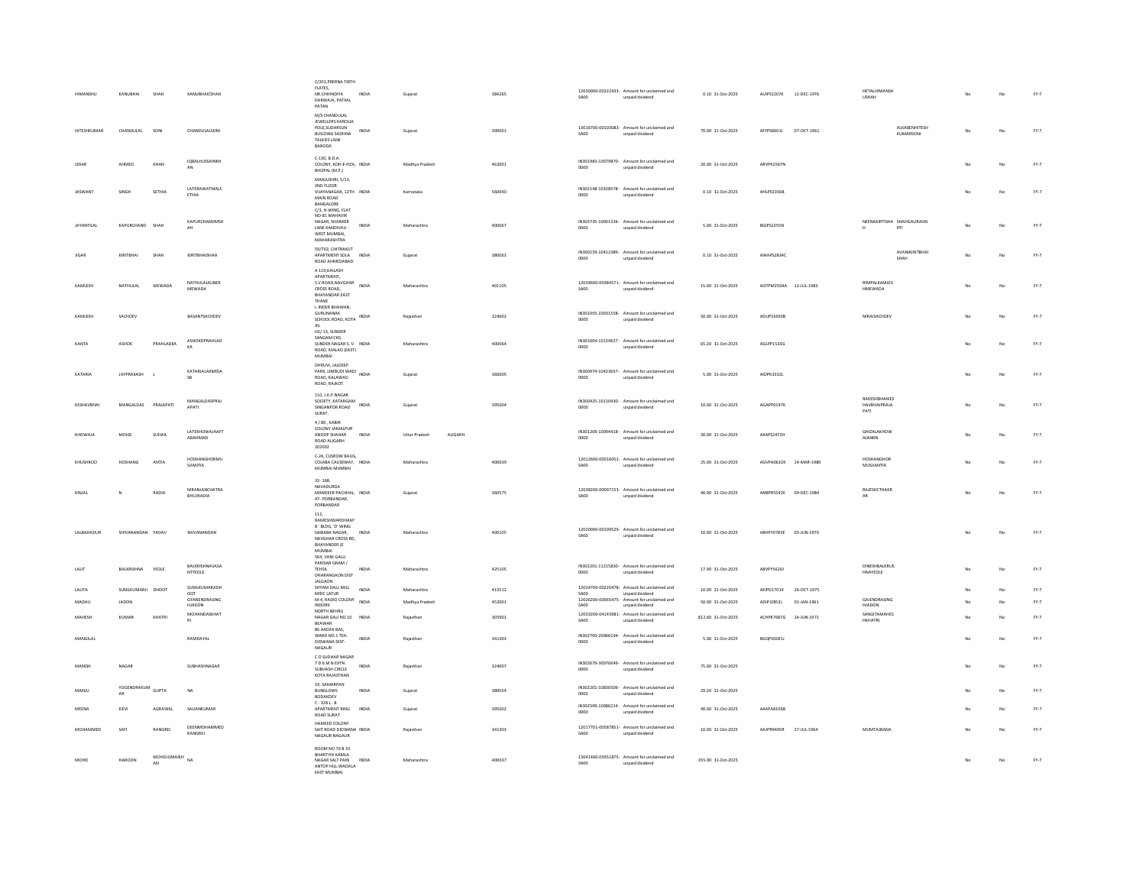| <b>HIMANSHU</b>   | KANUBHAI           | SHAH              | KANUBHAICSHAH                  | C/201, PRERNA TIRTH<br>FLATES,<br>NR.CHHINDIYA<br>DARWAJA, PATAN,<br>PATAN                                         | <b>INDIA</b> | Guiarat                  | 384265 | SA00        | 12030000-00322433- Amount for unclaimed and<br>unpaid dividend | 0.10 31-Oct-2025   | AUIPS1207K 12-DEC-1976 |                        | HETALHIMANSH<br>USHAH                        | No        | No | $FY-7$ |
|-------------------|--------------------|-------------------|--------------------------------|--------------------------------------------------------------------------------------------------------------------|--------------|--------------------------|--------|-------------|----------------------------------------------------------------|--------------------|------------------------|------------------------|----------------------------------------------|-----------|----|--------|
| HITESHKUMAR       | CHANDULAL          | SONI              | CHANDULALSONI                  | M/S CHANDULAL<br>JEWELLERS KAROLIA<br>POLE, SUDARSUN<br><b>BUILDING SADHNA</b><br>TALKIES LANE<br>RARODA           | INDIA        | Gujarat                  | 390001 | SA00        | 13016700-00103083- Amount for unclaimed and<br>unpaid dividend | 70.00 31-Oct-2025  | AFYPS0601J             | 07-OCT-1961            | ALKABENHITESH<br>KUMARSONI                   | No        | No | $FY-7$ |
| $17H\Delta R$     | AHMED              | KHAN              | <b>IQBALHUSSAINKH</b><br>AN    | C-130, B.D.A.<br>COLONY, KOH-E-FIZA, INDIA<br>BHOPAL (M.P.)                                                        |              | Madhya Pradesh           | 462001 | 0000        | IN301983-10079870- Amount for unclaimed and<br>unpaid dividend | 20.00 31-Oct-2025  | ARVPK2567N             |                        |                                              | No        | No | $FY-7$ |
| <b>JASWANT</b>    | SINGH              | SETHIA            | LATERAWATMALS<br><b>FTHIA</b>  | MANJUSHRI, 5/13,<br>2ND FLOOR<br>VIJAYANAGAR, 12TH INDIA<br>MAIN ROAD<br><b>BANGALORE</b><br>C/3, H-WING, FLAT     |              | Karnataka                | 560040 | 0000        | IN302148-10328578- Amount for unclaimed and<br>unpaid dividend | 0.10 31-Oct-2025   | AHLPS3356B             |                        |                                              | No        | No | $FY-7$ |
| <b>JAYANTILAI</b> | KAPURCHAND SHAH    |                   | KAPURCHANDMSH<br>AH            | NO-81 MAHAVIR<br>NAGAR, SHANKER<br>LANE KANDIVALI -<br>WEST MUMBAL<br>MAHARASHTRA                                  | INDIA        | Maharashtra              | 400067 | 0000        | IN303735-10001526- Amount for unclaimed and<br>unpaid dividend | 5.00 31-Oct-2025   | BGIPS2255N             |                        | NEENAKIRTISHA SHAHGAURAVKI<br>RTI            | No        | No | $FY-7$ |
|                   | KIRITRHAI          | SHAH              | KIRITRHAISHAH                  | 59/702, CHITRAKUT<br>APARTMENT SOLA INDIA<br>ROAD AHMEDABAD.<br>A 119 KAILASH                                      |              | Gujarat                  | 380063 | 0000        | IN300159-10412389- Amount for unclaimed and<br>unpaid dividend | 0.10 31-Oct-2025   | AWAPS2834C             |                        | <b>AVANIKIRITRHAI</b><br>SHAH                | <b>No</b> | No | $FY-7$ |
| KAMLESH           | NATHULAL           | MEWADA            | NATHULALKUBER<br>MEWADA        | APARTMENT,<br>S.V.ROAD, NAVGHAR<br>CROSS ROAD.<br><b>BHAYANDAR EAST</b><br>THANE<br>I, INDER BHAWAN,               | INDIA        | Maharashtra              | 401105 | SA00        | 12034600-00384571- Amount for unclaimed and<br>unpaid dividend | 15.00 31-Oct-2025  |                        | AOTPM2504A 12-JUL-1983 | RIMPALKAMLES<br><b>HMEWADA</b>               |           |    | $FY-7$ |
| KAMLESH           | SACHDEV            |                   | BASANTSACHDEV                  | <b>GURUNANAK</b><br>SCHOOL ROAD, KOTA INDIA                                                                        |              | Rajasthan                | 324002 | 0000        | IN301055-10031558- Amount for unclaimed and<br>unpaid dividend | 50.00 31-Oct-2025  | ADUPS1600E             |                        | NIRAJSACHDEV                                 | No        | No | $FY-7$ |
| KANTA             | ASHOK              | PRAHLADKA         | ΔΝΗΟΚΟΡΒΑΗΙ ΑΟ<br>KA           | H2/13, SUNDER<br>SANGAM CHS<br>SUNDER NAGAR S. V. INDIA<br>ROAD, MALAD (EAST)<br>MUMBAI                            |              | Maharashtra              | 400064 | 0000        | IN301604-10124627- Amount for unclaimed and<br>unpaid dividend | 65.20 31-Oct-2025  | AGLPP1533G             |                        |                                              |           | No | $FY-7$ |
| KATARIA           | JAYPRAKASH         |                   | KATARIALAXMIDA<br>SB           | DHRUVI, JALDEEP<br>DHRUVI, JALLANDI<br>PARK, LIMBUDI WADI<br>Alimani<br>ROAD, KALAWAD<br>ROAD, RAJKOT.             |              | Gujarat                  | 360005 | 0000        | IN300974-10423657- Amount for unclaimed and<br>unpaid dividend | 5.00 31-Oct-2025   | AIDPK3332L             |                        |                                              |           | No | $FY-7$ |
| KESHAVBHAI        | MANGALDAS          | PRAJAPATI         | MANGALDASPRAJ<br><b>APATI</b>  | 110, J.K.P.NAGAR<br>SOCIETY, KATARGAM<br>SINGANPOR ROAD<br>SURAT.                                                  | INDIA        | Gujarat                  | 395004 | 0000        | IN300425-10110430- Amount for unclaimed and<br>unpaid dividend | 10.00 31-Oct-2025  | AGAPP0197K             |                        | <b>RAKESHRHAIKES</b><br>HAVBHAIPRAJA<br>PATI | No        | No | $FY-7$ |
| KHOWAJA           | MOHD               | SUHAIL            | LATEKHOWAJAAFT<br>ARAHMAD      | 4 / 80, KABIR<br>COLONY JAMALPUR<br>ANOOP SHAHAR<br>ROAD ALIGARH<br>202002                                         | INDIA        | Uttar Pradesh<br>ALIGARH |        | 0000        | IN301209-10094418- Amount for unclaimed and<br>unpaid dividend | 30.00 31-Oct-2025  | AXAPS2472H             |                        | GHIZALAKHOW<br><b>AJANRN</b>                 |           |    | $FY-7$ |
| KHUSHROO          | HOSHANG            | ANTIA             | HOSHANGHORMU<br>SJIANTIA       | C-24. CUSROW BAUG.<br>COLABA CAUSEWAY, INDIA<br>MUMBAI MUMBAI                                                      |              | Maharashtra              | 400039 | SA00        | 12012600-00016052- Amount for unclaimed and<br>unpaid dividend | 25.00 31-Oct-2025  |                        | AGVPA0632K 14-MAR-1980 | HOSHANGHOP<br>MUSJIANTIA                     |           | No | $FY-7$ |
| KINJAL            | $\mathbf{N}$       | RADIA             | NIRANJANCHATRA<br>BHUJRADIA    | $32 - 168$<br>NAVADURGA<br>MANDEER PACHHAL. INDIA<br>AT-PORBANDAR,<br>PORBANDAR                                    |              | Guiarat                  | 360575 | SA00        | 12038200-00097153- Amount for unclaimed and<br>unpaid dividend | 40.00 31-Oct-2025  | ANBPR5542E 09-DEC-1984 |                        | RAJESHCTHAKR<br>AR                           | No        | No | $FY-7$ |
| LALBAHADUR        | SHIVANANDAN YADAV  |                   | SHIVANANDAN                    | 112.<br>RAMESHWARDHAM<br>B' BLDG, 'D' WING<br>SAIBABA NAGAR.<br>NAVGHAR CROSS RD,<br><b>BHAYANDER (E</b><br>MUMBAI | <b>INDIA</b> | Maharashtra              | 400105 | SA00        | 12020000-00109529- Amount for unclaimed and<br>unnaid dividend | 10.00 31-Oct-2025  | ABHPY0783E 05-JUN-1970 |                        |                                              | No.       | No | $FY-7$ |
| LALIT             | BALKRISHNA         | YEOLE             | BALKRISHNAVASA<br>NTYEOLE      | 564, VANI GALLI<br>PARISAR GRAM /<br>TEHSIL<br>DHARANGAON DIST<br><b>JALGAON</b>                                   | INDIA        | Maharashtra              | 425105 | 0000        | IN302201-11215830- Amount for unclaimed and<br>unpaid dividend | 17.90 31-Oct-2025  | ABVPY5620J             |                        | DINESHBALKRUS<br>HNAYEOLE                    | No        | No | $FY-7$ |
| LALITA            | SUNILKUMARJI DHOOT |                   | SUNILKUMARJIDH<br>OOT          | SHYAM DALL MILL<br>MIDC LATUR                                                                                      | INDIA        | Maharashtra              | 413512 | SAOD        | 12024700-00220478- Amount for unclaimed and<br>unpaid dividend | 10.00 31-Oct-2025  | AEIPD1701K             | 26-OCT-1975            |                                              |           | No | $FY-7$ |
| <b>MADHL</b>      | <b>JADON</b>       |                   | GYANENDRASING<br><b>HJADON</b> | M-4, RADIO COLONY<br>INDORE                                                                                        | INDIA        | Madhya Pradesh           | 452001 | <b>SA00</b> | 12026200-00065475- Amount for unclaimed and<br>unpaid dividend | 50.00 31-Oct-2025  | ADIPI28521             | 01-JAN-1961            | GAJENDRASING<br>HJADON                       |           | No | $FY-7$ |
| MAHESH            | KUMAR              | KHATRI            | MOHANDASKHAT<br>R1             | NORTH NEHRLI<br>NAGAR GALI NO 10 INDIA<br>BEAWAR<br>86 AADAK BAS                                                   |              | Rajasthar                | 305901 | SA00        | 12033200-04143981- Amount for unclaimed and<br>unpaid dividend | 812.60 31-Oct-2025 | ACHPK7687G             | 14-JUN-1971            | SANGITAMAHES<br>HKHATRI                      |           | No | FY-7   |
| MANGILAL          |                    |                   | RAMDAYAL                       | WARD NO.1 TEH.<br>DIDWANA DIST-<br>NAGAUR<br>CO SUDHAR NAGAR                                                       | INDIA        | Rajasthan                | 341303 | 0000        | IN302700-20066194- Amount for unclaimed and<br>unpaid dividend | 5.00 31-Oct-2025   | BGQPS9281J             |                        |                                              |           | No | $FY-7$ |
| MANISH            | NAGAR              |                   | SUBHASHNAGAR                   | 7 D 6 M N EXTN<br>SUBHASH CIRCLE<br>KOTA RAJASTHAN                                                                 | INDIA        | Rajasthar                | 324007 | 0000        | IN302679-30076649- Amount for unclaimed and<br>unpaid dividend | 75.00 31-Oct-2025  |                        |                        |                                              |           | No | $FY-7$ |
| MANJU             | YOGENDRAKUM GUPTA  |                   | <b>NA</b>                      | 19, SAMARPAN<br><b>BUNGLOWS</b><br>BODAKDEV<br>$C - 328$ L.B                                                       | INDIA        | Gujarat                  | 380054 | 0000        | IN302201-10830506- Amount for unclaimed and<br>unpaid dividend | 29.20 31-Oct-2025  |                        |                        |                                              |           | No | $FY-7$ |
| MEENA             | DEVI               | AGRAWAL           | SAJJANKUMAR                    | APARTMENT RING<br>ROAD SURAT                                                                                       | INDIA        | Guiarat                  | 395002 | 0000        | IN302599-10086214- Amount for unclaimed and<br>unpaid dividend | 40.00 31-Oct-2025  | AAKPA8106B             |                        |                                              |           | No | $PY-7$ |
| MOHAMMED          | SAFI               | <b>RANGREL</b>    | DEENMOHAMMED<br>RANGREJ        | HAMEED COLONY<br>SAIT ROAD DIDWANA INDIA<br>NAGAUR NAGAUR                                                          |              | Raiasthar                | 341303 | <b>SA00</b> | 12017701-00587851- Amount for unclaimed and<br>unpaid dividend | 10.00 31-Oct-2025  | <b>AAIPR9405R</b>      | 27-JUL-1964            | MUMTAIRANA                                   |           | No | FY-7   |
| MOHD              | HAROON             | MOHDJUMAIKH<br>AN | <b>NA</b>                      | ROOM NO 70 8 10<br>BHARTIYA KAMLA<br>NAGAR SALT PAIN INDIA<br>ANTOP HILL WADALA<br><b>FAST MUMRAL</b>              |              | Maharashtra              | 400037 | <b>SA00</b> | 13041400-05951875- Amount for unclaimed and<br>unpaid dividend | 355.00 31-Oct-2025 |                        |                        |                                              | No.       | No | $FY-7$ |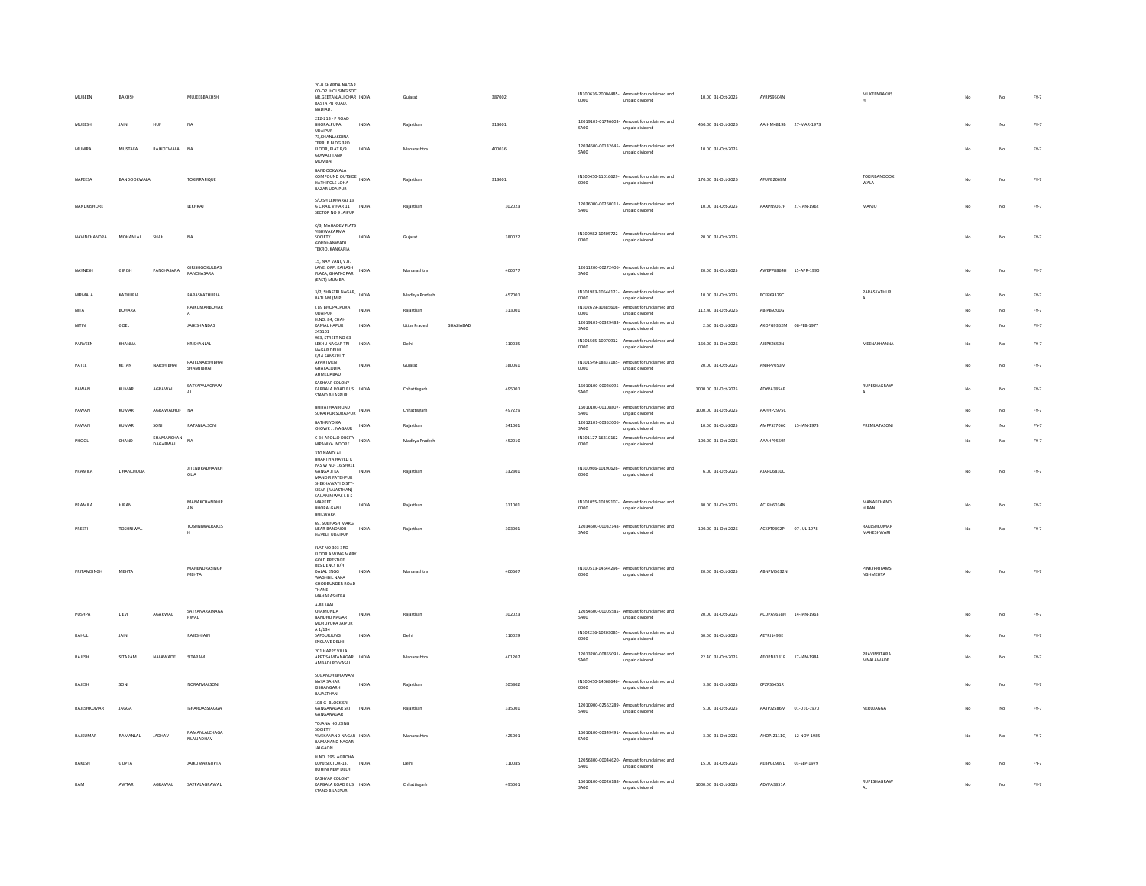| MUBEEN          | BAKHSH                          | MUJEEBBAKHSH                  | 20-B SHARDA NAGAR<br>CO-OP, HOUSING SOC<br>NR.GEETANJALI CHAR INDIA<br>RASTA PU ROAD.<br>NADIAD.                           | Gujarat                    | 387002 | IN300636-20004485- Amount for unclaimed and<br>0000<br>unpaid dividend        | 10.00 31-Oct-2025   | AYRPS9504N                | MUKEENBAKHS                      |                | No | $FY-7$ |
|-----------------|---------------------------------|-------------------------------|----------------------------------------------------------------------------------------------------------------------------|----------------------------|--------|-------------------------------------------------------------------------------|---------------------|---------------------------|----------------------------------|----------------|----|--------|
| MUKESH          | <b>JAIN</b><br>HUF              | <b>NA</b>                     | 212-213 - P ROAD<br>BHOPALPURA<br><b>INDIA</b><br>UDAIPUR                                                                  | Raiasthan                  | 313001 | 12019101-01746603- Amount for unclaimed and<br>unpaid dividend<br>SA00        | 450.00 31-Oct-2025  | AAIHM4819B 27-MAR-1973    |                                  |                | No | $FY-7$ |
| MUNIRA          | MUSTAFA<br>RAJKOTWALA           | <b>NA</b>                     | 73, KHANLAKDINA<br>TERR, B BLDG 3RD<br>FLOOR, FLAT R/9<br>INDIA<br><b>GOWALI TANK</b><br>MUMBAI                            | Maharashtra                | 400036 | 12034600-00132645- Amount for unclaimed and<br>SA00<br>unpaid dividend        | 10.00 31-Oct-2025   |                           |                                  |                | No | $FY-7$ |
| NAFEESA         | BANDOOKWALA                     | TOKIRRAFIQUE                  | BANDOOKWALA<br>COMPOUND OUTSIDE<br>INDIA<br>HATHIPOLE LOHA<br><b>BAZAR UDAIPUR</b>                                         | Rajasthar                  | 313001 | IN300450-11016629- Amount for unclaimed and<br>0000<br>unpaid dividend        | 170.00 31-Oct-2025  | AFUPB2069M                | TOKIRBANDOOK<br>WALA             |                | No | $FY-7$ |
| NANDKISHORE     |                                 | LEKHRAJ                       | S/O SH LEKHARAJ 13<br>G C RAIL VIHAR 11 INDIA<br>SECTOR NO 9 JAIPUR                                                        | Rajasthan                  | 302023 | 12036000-00260011- Amount for unclaimed and<br>SA00<br>unpaid dividend        | 10.00 31-Oct-2025   | AAXPN9067F<br>27-JAN-1962 | MANJU                            |                | No | $FY-7$ |
| NAVINCHANDRA    | MOHANLAL<br>SHAH                | <b>NA</b>                     | C/3, MAHADEV FLATS<br>VISHWAKARMA<br>SOCIETY<br>INDIA<br>GORDHANWADI<br>TEKRO, KANKARIA                                    | Gujarat                    | 380022 | IN300982-10405722- Amount for unclaimed and<br>0000<br>unpaid dividend        | 20.00 31-Oct-2025   |                           |                                  |                | No | $FY-7$ |
| NAYNESH         | <b>GIRISH</b><br>PANCHASARA     | GIRISHGOKULDAS<br>PANCHASARA  | 15. NAV VANI, V.B.<br>LANE, OPP. KAILASH<br>INDIA<br>PLAZA GHATKOPAR<br>(EAST) MUMBAI                                      | Maharashtra                | 400077 | 12011200-00272406- Amount for unclaimed and<br>SA00<br>unpaid dividend        | 20.00 31-Oct-2025   | AWEPP8864H 15-APR-1990    |                                  |                | No | $FY-7$ |
| NIRMALA         | KATHURIA                        | PARASKATHURIA                 | 3/2, SHASTRI NAGAR, INDIA<br>RATLAM (M.P)                                                                                  | Madhya Pradesh             | 457001 | IN301983-10544122- Amount for unclaimed and<br>unpaid dividend<br>0000        | 10.00 31-Oct-2025   | BCFPK9379C                | PARASKATHURI                     | N <sub>n</sub> | No | $FY-7$ |
| NITA            | BOHARA                          | RAIKUMARBOHAR                 | L 89 BHOPALPURA<br>INDIA<br><b>UDAIPUR</b>                                                                                 | Rajasthan                  | 313001 | IN302679-30385608- Amount for unclaimed and<br>0000<br>unpaid dividend        | 112.40 31-Oct-2025  | ABIPB9200G                |                                  |                | No | $FY-7$ |
| NITIN           | GOEL                            | <b>JAIKISHANDAS</b>           | H.NO. 84, CHAH<br><b>INDIA</b><br>KAMAL HAPUR                                                                              | GHAZIABAD<br>Uttar Pradesh |        | 12019101-00329483- Amount for unclaimed and<br><b>SA00</b><br>unpaid dividend | 2.50 31-Oct-2025    | AKOPG9362M 08-FEB-1977    |                                  |                | No | $FY-7$ |
| PARVEEN         | KHANNA                          | KRISHANLAL                    | 245101<br>963. STREET NO 63<br>LEKHU NAGAR TRI<br>INDIA                                                                    | Delhi                      | 110035 | IN301565-10070912- Amount for unclaimed and                                   | 160.00 31-Oct-2025  | AJEPK2659N                | MEENAKHANNA                      |                | No | $FY-7$ |
|                 |                                 |                               | NAGAR DELHI<br>F/14 SANSKRUT                                                                                               |                            |        | 0000<br>unpaid dividend                                                       |                     |                           |                                  |                |    |        |
| PATEL           | KETAN<br>NARSHIBHAI             | PATELNARSHIBHAI<br>SHAMJIBHAI | APARTMENT<br>INDIA<br>GHATALODIA<br>AHMEDABAD                                                                              | Gujarat                    | 380061 | IN301549-18837185- Amount for unclaimed and<br>0000<br>unpaid dividend        | 20.00 31-Oct-2025   | ANIPP7053M                |                                  |                | No | $FY-7$ |
| PAWAN           | AGRAWAL<br>KUMAR                | SATYAPALAGRAW<br>$\Delta 1$   | KASHYAP COLONY<br>KARBALA ROAD BUS INDIA<br>STAND BILASPUR                                                                 | Chhattisgarh               | 495001 | 16010100-00026095- Amount for unclaimed and<br><b>SA00</b><br>unpaid dividend | 1000.00 31-Oct-2025 | ADYPA3854F                | RUPESHAGRAW                      | No             | No | $FY-7$ |
| PAWAN           | AGRAWALHUF<br>KUMAR             | NA                            | BHIYATHAN ROAD<br>SURAJPUR SURAJPUR INDIA                                                                                  | Chhattisgarh               | 497229 | 16010100-00108807- Amount for unclaimed and<br>SA00<br>unpaid dividend        | 1000.00 31-Oct-2025 | AAHHP2975C                |                                  | No             | No | $FY-7$ |
| PAWAN           | <b>KUMAR</b><br>SONI            | RATANLALSONI                  | <b>BATHRIYO KA</b><br>INDIA<br>CHOWKNAGAUR                                                                                 | Rajasthan                  | 341001 | 12012101-00352006- Amount for unclaimed and<br><b>SA00</b><br>unpaid dividend | 10.00 31-Oct-2025   | AMFPS3706C 15-JAN-1973    | PREMIATASONI                     |                | No | $PY-7$ |
| PHOOL           | KHAMANCHAN<br>CHAND<br>DAGARWAL | <b>NA</b>                     | C-34 APOLLO DBCITY<br>C-34 APOLLO DBCITY<br>INDIA<br>NIPANIYA INDORE                                                       | Madhya Pradesh             | 452010 | IN301127-16310162- Amount for unclaimed and<br>0000<br>unpaid dividend        | 100.00 31-Oct-2025  | AAAHP9559F                |                                  |                | No | $FY-7$ |
|                 |                                 |                               | 310 NANDLAL                                                                                                                |                            |        |                                                                               |                     |                           |                                  |                |    |        |
| PRAMILA         | DHANCHOUA                       | <b>JITENDRADHANCH</b><br>OLIA | BHARTIYA HAVELI K<br>PAS W NO-16 SHREE<br>GANGA JI KA<br>INDIA<br>MANDIR FATEHPUR<br>SHEKHAWATI DISTT<br>SIKAR (RAJASTHAN) | Rajasthar                  | 332301 | IN300966-10190626- Amount for unclaimed and<br>0000<br>unpaid dividend        | 6.00 31-Oct-2025    | AJAPD6830C                |                                  |                | No | $FY-7$ |
| PRAMILA         | HIRAN                           | MANAKCHANDHIR<br>AN           | SAJJAN NIWAS L B S<br>MARKET<br>INDIA<br>BHOPALGANI                                                                        | Rajasthan                  | 311001 | IN301055-10199107- Amount for unclaimed and<br>0000<br>unpaid dividend        | 40.00 31-Oct-2025   | ACLPH6034N                | MANAKCHAND<br><b>HIRAN</b>       |                | No | $FY-7$ |
|                 |                                 | TOSHNIWALRAKES                | BHILWARA<br>69, SUBHASH MARG,                                                                                              |                            |        | 12034600-00032148- Amount for unclaimed and                                   |                     |                           | RAKESHKUMAR                      |                |    |        |
| PREETI          | TOSHNIWAL                       | н.                            | NEAR BANDNOR<br>INDIA<br>HAVELI, UDAIPUR<br>FLAT NO 303 3RD                                                                | Raiasthan                  | 303001 | SA00<br>unpaid dividend                                                       | 100.00 31-Oct-2025  | ACKPT9892P<br>07-JUL-1978 | <b>MAHESHWARI</b>                |                | No | $FY-7$ |
|                 |                                 |                               | FLOOR A WING MARY<br><b>GOLD PRESTIGE</b>                                                                                  |                            |        |                                                                               |                     |                           |                                  |                |    |        |
| PRITAMSINGH     | MEHTA                           | MAHENDRASINGH<br><b>MEHTA</b> | RESIDENCY B/H<br><b>INDIA</b><br>DALAL ENGG<br>WAGHBIL NAKA<br>GHODBUNDER ROAD<br>THANE<br><b>MAHARASHTRA</b>              | Maharashtra                | 400607 | IN300513-14644296- Amount for unclaimed and<br>unpaid dividend<br>0000        | 20.00 31-Oct-2025   | ABNPMS632N                | PINKYPRITAMSI<br><b>NGHMEHTA</b> | No.            | No | $FY-7$ |
| PUSHPA          | DEVI<br>AGARWAL                 | SATYANARAINAGA<br><b>RWAL</b> | A-88 JAAI<br>CHAMUNDA<br><b>INDIA</b><br><b>RANDHII NAGAR</b><br>MURLIPURA JAIPUR                                          | Raiasthan                  | 302023 | 12054600-00005585- Amount for unclaimed and<br><b>SA00</b><br>unpaid dividend | 20.00 31-Oct-2025   | ACDPA9658H 14-JAN-1963    |                                  |                | No | $FY-7$ |
| RAHUL           | JAIN                            | RAJESHJAIN                    | $\mathsf{A}$ 1/134<br>SAFDURJUNG<br>INDIA<br>ENCLAVE DELHI                                                                 | Delhi                      | 110029 | IN302236-10203085- Amount for unclaimed and<br>0000<br>unpaid dividend        | 60.00 31-Oct-2025   | AEYPJ1493E                |                                  |                | No | $FY-7$ |
| RAJESH          | SITARAM<br>NALAWADE             | SITARAM                       | 201 HAPPY VILLA<br>APPT SAMTANAGAR INDIA<br>AMBADI RD VASAI                                                                | Maharashtra                | 401202 | 12013200-00855091- Amount for unclaimed and<br><b>SA00</b><br>unpaid dividend | 22.40 31-Oct-2025   | AEOPN8181P 17-JAN-1984    | PRAVINSITARA<br>MNAI AWADE       |                | No | $FY-7$ |
| RAJESH          | SONI                            | NORATMALSON                   | SUGANDH BHAWAN<br>NAYA SAHAR<br>INDIA<br>KISHANGARH<br>RAIASTHAN                                                           | Rajasthan                  | 305802 | IN300450-14068646- Amount for unclaimed and<br>unpaid dividend<br>0000        | 3.30 31-Oct-2025    | CPZPS5451R                |                                  |                | No | $FY-7$ |
| RAJESHKUMAR     | JAGGA                           | ISHARDASSIAGGA                | 108-G- BLOCK SRI<br><b>GANGANAGAR SRI</b><br>INDIA<br>GANGANAGAR                                                           | Rajasthar                  | 335001 | 12010900-02562289- Amount for unclaimed and<br>SA00<br>unpaid dividend        | 5.00 31-Oct-2025    | AATPJ2586M<br>01-DEC-1970 | NERUJAGGA                        |                | No | $PY-7$ |
| <b>RAIKUMAR</b> | RAMANIAL<br><b>JADHAV</b>       | RAMANLALCHAGA<br>NLALIADHAV   | YOJANA HOUSING<br>SOCIETY<br>VIVEKANAND NAGAR INDIA<br>RAMANAND NAGAR<br><b>JALGAON</b>                                    | Maharashtra                | 425001 | 16010100-00349491- Amount for unclaimed and<br><b>SA00</b><br>unpaid dividend | 3.00 31-Oct-2025    | AHOPJ2111Q<br>12-NOV-1985 |                                  |                | No | $FY-7$ |
| RAKESH          | <b>GUPTA</b>                    | <b>JAIKUMARGUPTA</b>          | H.NO. 195, AGROHA<br>KUNJ SECTOR-13. INDIA<br>ROHINI NEW DELHI                                                             | Delhi                      | 110085 | 12056300-00044620- Amount for unclaimed and<br>SA00<br>unpaid dividend        | 15.00 31-Oct-2025   | AEBPG0989D 03-SEP-1979    |                                  |                | No | $PY-7$ |
| RAM             | AWTAR<br>AGRAWAL                | SATPALAGRAWAL                 | KASHYAP COLONY<br>KARBALA ROAD BUS INDIA<br>STAND BILASPUR                                                                 | Chhattisgarh               | 495001 | 16010100-00026188- Amount for unclaimed and<br>SA00<br>unpaid dividend        | 1000.00 31-Oct-2025 | ADYPA3851A                | RUPESHAGRAW<br>$\Delta 1$        |                | No | $FY-7$ |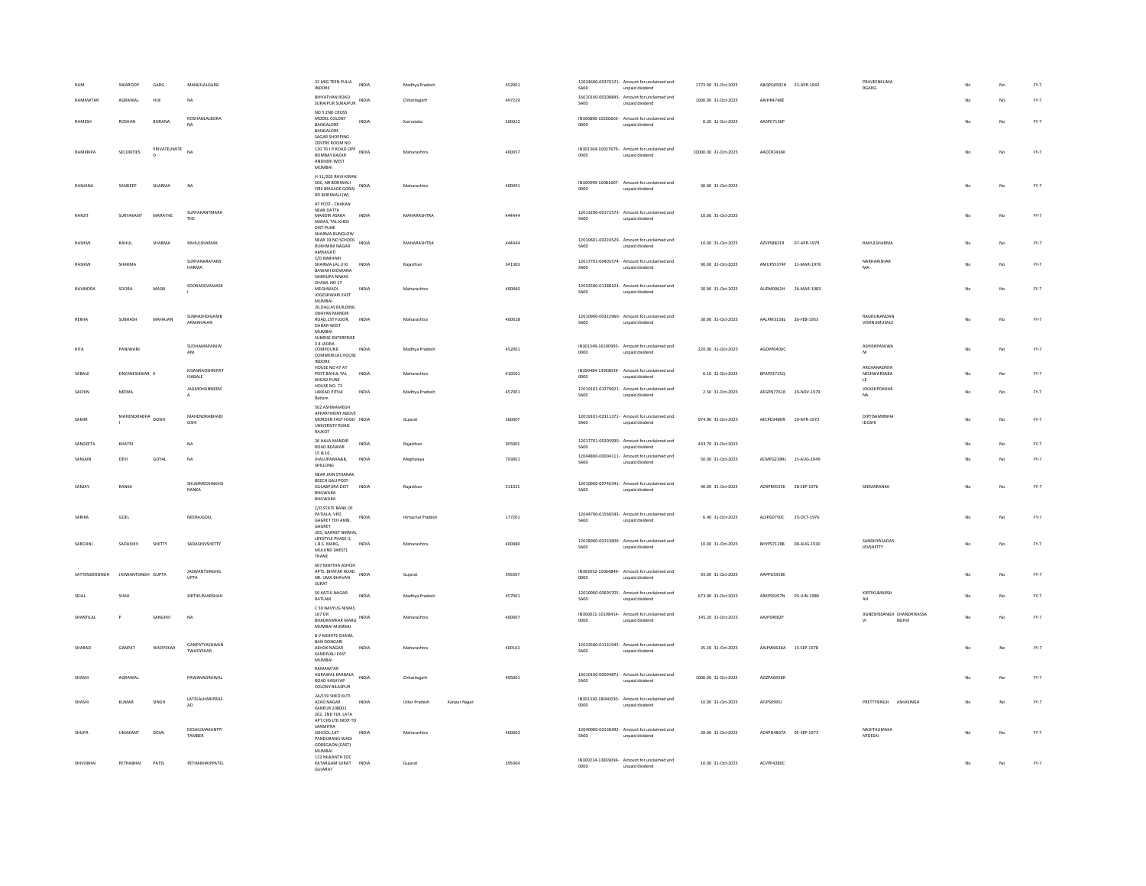|                | GARG<br>SWAROOP             | MANGILALGARG                              | 32 MIG TEEN PULIA<br>INDIA                                                                                             | Madhya Pradesh                        | 452001 | 12034600-00370121- Amount for unclaimed and                                   | 1773.90 31-Oct-2025  | ABQPG0591H 23-APR-1942           | PRAVEENKUMA                                    |     | No | $FY-7$ |
|----------------|-----------------------------|-------------------------------------------|------------------------------------------------------------------------------------------------------------------------|---------------------------------------|--------|-------------------------------------------------------------------------------|----------------------|----------------------------------|------------------------------------------------|-----|----|--------|
| RAMAWTAR       | AGRAWAL<br><b>HUR</b>       | <b>NA</b>                                 | INDORE<br>BHIYATHAN ROAD                                                                                               |                                       | 497229 | SA00<br>unnaid dividend<br>16010100-00108845- Amount for unclaimed and        | 1000.00 31-Oct-2025  | AAIHR4748F                       | RGARG                                          |     | No | $FY-7$ |
|                |                             |                                           | SURAIPUR SURAIPUR INDIA<br>NO 5 2ND CROSS                                                                              | Chhattisgarh                          |        | SA00<br>unpaid dividend                                                       |                      |                                  |                                                |     |    |        |
| RAMESH         | ROSHAN<br>BORANA            | ROSHANLALBORA<br><b>NA</b>                | MODEL COLONY<br>INDIA<br>BANGALORE<br>BANGALORE                                                                        | Karnataka                             | 560022 | IN300896-10266603- Amount for unclaimed and<br>0000<br>unpaid dividend        | 0.20 31-Oct-2025     | AASPC7136P                       |                                                |     | No | $FY-7$ |
| RAMKRIPA       | PRIVATELIMITE<br>SECURITIES | <b>NA</b>                                 | SAGAR SHOPPING<br>CENTRE ROOM NO<br>120 76 J P ROAD OPP<br>INDIA<br>BOMBAY BAZAR<br>ANDHERI WEST<br>MUMBAI             | Maharashtra                           | 400057 | IN301364-10027679- Amount for unclaimed and<br>0000<br>unpaid dividend        | 10000.00 31-Oct-2025 | AADCR3436K                       |                                                |     |    | $FY-7$ |
| RANJANA        | SANDEEP<br>SHARMA           | NA                                        | H-11/202 RAVI-KIRAN<br>SOC, NR BORIWALI<br>FIRE BRIGADE GORAL INDIA<br>RD BORIWALI (W)                                 | Maharashtra                           | 400091 | IN300999-10081607- Amount for unclaimed and<br>0000<br>unnaid dividend        | 30.00 31-Oct-2025    |                                  |                                                |     | No | $FY-7$ |
| RANJIT         | MARATHE<br>SURYAKANT        | SURYAKANTMARA<br>THE                      | AT POST - CHAKAN<br>NEAR DATTA<br>MANDIR ASARA<br>INDIA<br>NIWAS, TAL-KHED<br>DIST-PUNE                                | MAHARASHTRA                           | 444444 | 12013200-00172573- Amount for unclaimed and<br><b>SA00</b><br>unpaid dividend | 10.00 31-Oct-2025    |                                  |                                                |     | No | $FY-7$ |
| RASHM          | RAHUL<br>SHARMA             | RAHULSHARMA                               | SHARMA BUNGLOW<br>NEAR 19 NO SCHOOL<br>INDIA<br><b>RUKHMINI NAGAR</b><br>AMRAVATI                                      | MAHARASHTRA                           | 444444 | 12010601-00224529- Amount for unclaimed and<br>SA00<br>unpaid dividend        | 10.00 31-Oct-2025    | AZVPS8831R<br>07-APR-1979        | RAHULSHARMA                                    |     | No | $FY-7$ |
| RASHMI         | SHARMA                      | SURYANARAYANS<br>HARMA                    | C/O NARHARI<br>SHARMA LAL JI KI<br><b>INDIA</b><br><b>BAWARI DIDWANA</b><br>SAIKRUPA NIWAS                             | Rajasthan                             | 341303 | 12017701-00405574- Amount for unclaimed and<br>SA00<br>unpaid dividend        | 90.00 31-Oct-2025    | AMUPS5374F 11-MAR-1976           | NARHARISHAF<br>MA                              |     |    | $FY-7$ |
| RAVINDRA       | SOORA<br>MASKI              | SOORADEVAMASK                             | CHAWL NO 17<br>MEGHWADI<br>INDIA<br>JOGESHWARI EAST<br>MUMRAL                                                          | Maharashtra                           | 400060 | 12033500-01188103- Amount for unclaimed and<br><b>SA00</b><br>unpaid dividend | 20.00 31-0rt-2025    | 411PM0062H<br>26-MAR-1983        |                                                | No. | No | $PY-7$ |
| REKHA          | SURHASH<br>MAHAIAN          | SUBHASHDIGAMB<br>ARMAHAJAN                | 20, DALLAS BUILDING<br>DNAYAN MANDIR<br>ROAD, 1ST FLOOR,<br><b>INDIA</b><br>DADAR WEST<br>MUMBAI<br>SUNRISE ENTERPRISE | Maharashtra                           | 400028 | 12010900-00322960- Amount for unclaimed and<br>SA00<br>unpaid dividend        | 30.00 31-0ct-2025    | AALPM3158L 26-FFB-1953           | RAGHUNANDAM<br>VISHNUMUSALE                    | No  | No | $FY-7$ |
| RITA           | PANIWANI                    | SUDHAMAPANJW<br>ANI                       | 34 JAORA<br>COMPOUND<br><b>INDIA</b><br>COMMERICAL HOUSE<br><b>INDORF</b>                                              | Madhya Pradesh                        | 452001 | IN301549-16190993- Amount for unclaimed and<br>0000<br>unpaid dividend        | 220.00 31-Oct-2025   | AGDPP0400C                       | ASHISHPANJWA<br>MI                             | No. | No | $FY-7$ |
| SABALE         | DNYANESHWAR 8               | KISANRAOSHRIPAT<br>ISABALE                | HOUSE NO 47 AT<br>POST BAHUL TAL<br>INDIA<br>KHEAD PUNE                                                                | Maharashtra                           | 410501 | IN300484-13958039- Amount for unclaimed and<br>0000<br>unpaid dividend        | 0.10 31-Oct-2025     | BPAPS3725Q                       | ARCHANADNYA<br>NESHWARSABA<br>LE.              |     | No | $FY-7$ |
| SACHIN         | NEEMA                       | JAGMOHANNEEM                              | HOUSE NO. 72<br><b>LAKKAD PITHA</b><br>INDIA<br>Ratlam                                                                 | Madhya Pradesh                        | 457001 | 12019101-01270621- Amount for unclaimed and<br>SA00<br>unpaid dividend        | 2.50 31-Oct-2025     | AEGPN7761R 29-NOV-1979           | VIKASHPOKHAR                                   |     | No | $FY-7$ |
| SAMIR          | MAHENDRABHA DOSHI           | MAHENDRABHAID<br>OSHI                     | 502 ASHWAMEGH<br>APPARTMENT ABOVE<br>MORDEN FAST FOOD INDIA<br>UNIVERSITY ROAD<br>RAJKOT                               | Gujarat                               | 360007 | 12019101-02311371- Amount for unclaimed and<br><b>SA00</b><br>unpaid dividend | 974 90 31-0rt-2025   | AFCPD3480R 10-APR-1972           | <b>DIPTISAMIRBHA</b><br><b>IDOSHI</b>          | No. | No | FY-7   |
| SANGEETA       | KHATRI                      | NA                                        | 26 HALA MANDIR<br>INDIA<br>ROAD BEAWAR                                                                                 | Rajasthan                             | 305901 | 12017701-00205990- Amount for unclaimed and<br>SA00<br>unpaid dividend        | 433.70 31-Oct-2025   |                                  |                                                |     | No | $PY-7$ |
| SANJANI        | DEVI<br>GOYAL               | <b>NA</b>                                 | 15 & 16,<br>JHALUPARAA&B.<br><b>INDIA</b><br>SHILLONG                                                                  | Meghalaya                             | 793001 | 12044800-00004111- Amount for unclaimed and<br>SA00<br>unpaid dividend        | 50.00 31-Oct-2025    | ACMPG2389L 15-AUG-1949           |                                                |     | No | $PY-7$ |
| SANJAY         | RANKA                       | SHUMMEDSINGHJI<br>RANKA                   | NEAR JAIN STHANAK<br>REECH GALL POST-<br><b>GULABPURA DIST</b><br>INDIA<br>BHILWARA<br>BHILWARA                        | Rajasthan                             | 311021 | 12010900-00746341- Amount for unclaimed and<br><b>SA00</b><br>unpaid dividend | 40.00 31-Oct-2025    | ADXPR0533K<br>28-SEP-1976        | SEEMARANKA                                     | No  | No | $FY-7$ |
| SARIKA         | GOEL                        | NEERAIGOEL                                | C/O STATE BANK OF<br>PATIALA, VPO<br>INDIA<br>GAGRET TEH AMB,<br>GAGRET                                                | Himachal Pradesh                      | 177201 | 12044700-01566543- Amount for unclaimed and<br><b>SA00</b><br>unpaid dividend | 6.40 31-Oct-2025     | ALSPG0750C 25-OCT-1976           |                                                |     | No | $FY-7$ |
| SAROJIN        | SADASHIN<br>SHETTY          | SADASHIVSHETTY                            | 205, GARNET NIRMAL<br>LIFESTYLE PHASE II,<br>L.B.S. MARG,<br>INDIA<br>MULUND (WEST)<br>THANE                           | Maharashtra                           | 400080 | 12028900-00133609- Amount for unclaimed and<br>SA00<br>unpaid dividend        | 10.00 31-Oct-2025    | <b>BHYPS7128B</b><br>08-AUG-1930 | SANDHYASADAS<br>HIVSHETTY                      |     |    | $FY-7$ |
| SATYENDERSINGH | JASWANTSINGH GUPTA          | <b>IASWANTSINGHG</b><br>UPTA              | 607 NISHTHA ASHISH<br>APTS. BHATAR ROAD<br>INDIA<br>NR. UMA BHAVAN<br>SURAT                                            | Gujarat                               | 395007 | IN303052-10064849- Amount for unclaimed and<br>0000<br>unpaid dividend        | 93.00 31-Oct-2025    | AAPPG5958E                       |                                                | No  | No | $PY-7$ |
|                | SHAH                        | KIRTIKUMARSHAH                            | 50 KATJU NAGAR<br>INDIA<br>RATLAM                                                                                      | Madhya Pradesh                        | 457001 | 12010900-00695705- Amount for unclaimed and<br><b>SA00</b><br>unpaid dividend | 673.00 31-Oct-2025   | ARKPS9207N<br>05-JUN-1980        | KIRTIKUMARSH<br>AH                             |     | No | $FY-7$ |
| SHANTILA       | SANGHVI                     | <b>NA</b>                                 | C 59 NAVYUG NIWAS<br>167 DR<br>BHADKAMKAR MARG INDIA<br>MUMBAI MUMBAI                                                  | Maharashtra                           | 400007 | IN300011-10198414- Amount for unclaimed and<br>0000<br>unpaid dividend        | 145.20 31-Oct-2025   | AAJPS9082P                       | JIGNESHSSANGH CHANDRIKASSA<br>NGHVI<br>$^{16}$ | No  | No | $FY-7$ |
| SHARAD         | <b>GANPAT</b><br>WADYEKAR   | GANPATYASHWAN<br>TWADYFKAR                | B V MOHITE CHAWL<br><b>BAN DONGARL</b><br>ASHOK NAGAR<br>INDIA<br>KANDIVALI EAST<br>MUMBAI                             | Maharashtra                           | 400101 | 12033500-01131945- Amount for unclaimed and<br>SA00<br>unpaid dividend        | 35.30 31-Oct-2025    | AAIPW0638A 15-SEP-1978           |                                                |     |    | $FY-7$ |
| SHASHI         | AGRAWAL                     | PAWANAGRAWAL                              | RAMAWTAR<br>AGRAWAL KARBALA<br>INDIA<br>ROAD KASHYAP<br><b>COLONY BILASPUR</b>                                         | Chhattisgarh                          | 495001 | 16010100-00094871- Amount for unclaimed and<br>SA00<br>unpaid dividend        | 1000.00 31-Oct-2025  | ADZPA6958R                       |                                                | No  | No | $FY-7$ |
| SHASHI         | KUMAR<br>SINGH              | LATELALHARIPRAS<br>$\mathsf{A}\mathsf{D}$ | 2A/159 SHEO KUTI<br>AZAD NAGAR<br><b>INDIA</b><br><b>KANPUR 208002</b><br>202, 2ND FLR, LATA<br>APT.CHS LTD NEXT TO    | <b>Littar Pradesh</b><br>Kanpur Nagar |        | IN301330-18040030- Amount for unclaimed and<br>0000<br>unpaid dividend        | 10.00 31-Oct-2025    | <b>AFIPSO9951</b>                | PRETTYSINGH ASHASINGH                          | No  | No | $PY-7$ |
| <b>SHILPA</b>  | <b>IMAKANT</b><br>DESA      | DESAIUMAKANTPI<br>TAMBER                  | SANMITRA<br>SCHOOL,197<br>PANDURANG WADI<br>INDIA<br>GOREGAON (EAST)                                                   | Maharashtra                           | 400063 | 12040000-00138392- Amount for unclaimed and<br>SA00<br>unpaid dividend        | 20.00 31-Oct-2025    | ADXPD4807A 05-SEP-1973           | NADITAUMAKA<br>NTDESAI                         | No  | No | FY-7   |
| SHIVIIRHAI     | PETHARHAI<br>PATEL          | PETHABHAIPPATEL                           | <b>MUMBAI</b><br>122 NILKANTH SOC<br>KATARGAM SURAT INDIA<br>GUJARAT                                                   | Gujarat                               | 395004 | IN300214-13839094- Amount for unclaimed and<br>0000<br>unpaid dividend        | 10.00 31-Oct-2025    | ACVPP4280C                       |                                                | No  | No | $FY-7$ |